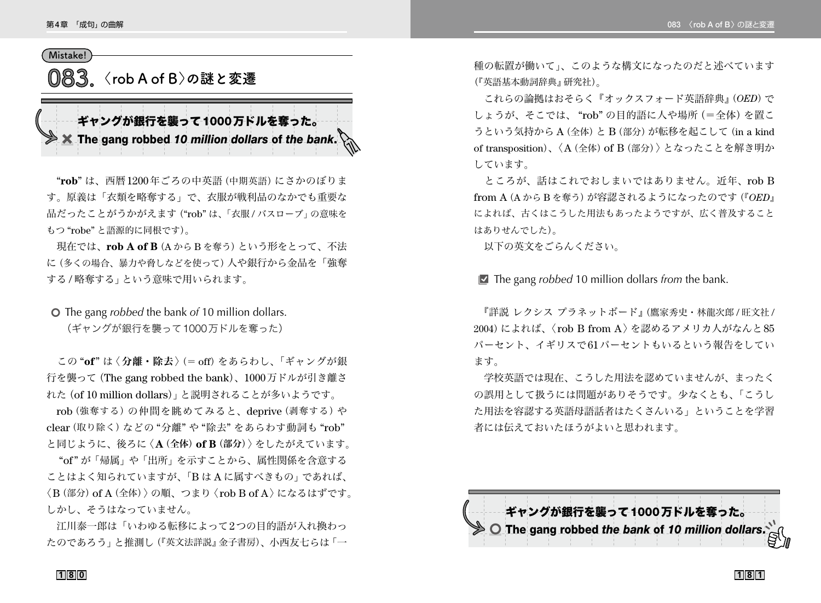# **Mistake! 083 〈 rob <sup>A</sup> of B 〉の謎と変遷**

## ギャングが銀行を襲って1000万ドルを奪った。 × The gang robbed *10 million dollars* of *the bank*.

"**rob**" は、西暦1200年ごろの中英語(中期英語)にさかのぼりま す。原義は「衣類を略奪する」で、衣服が戦利品のなかでも重要な 品だったことがうかがえます("rob" は、「衣服 / バスローブ」の意味を もつ "robe" と語源的に同根です)。

 現在では、**rob A of B**(A から B を奪う)という形をとって、不法 に(多くの場合、暴力や脅しなどを使って)人や銀行から金品を「強奪 する / 略奪する」という意味で用いられます。

#### 5 The gang *robbed* the bank *of* 10 million dollars.

(ギャングが銀行を襲って1000万ドルを奪った)

 この "**of**" は〈 分離・除去〉(= off)をあらわし、「ギャングが銀 行を襲って(The gang robbed the bank)、1000万ドルが引き離さ れた(of 10 million dollars)」と説明されることが多いようです。

rob(強奪する)の仲間を眺めてみると、deprive(剥奪する)や clear(取り除く)などの "分離" や "除去" をあらわす動詞も "rob" と同じように、後ろに〈**A**(全体)**of B**(部分)〉をしたがえています。

"of" が「帰属」や「出所」を示すことから、属性関係を含意する ことはよく知られていますが、「B は A に属すべきもの」であれば、 〈 B(部分)of A(全体)〉の順、つまり〈 rob B of A 〉になるはずです。 しかし、そうはなっていません。

 江川泰一郎は「いわゆる転移によって2つの目的語が入れ換わっ たのであろう」と推測し(『英文法詳説』金子書房)、小西友七らは「一 種の転置が働いて」、このような構文になったのだと述べています (『英語基本動詞辞典』研究社)。

 これらの論拠はおそらく『オックスフォード英語辞典』(*OED*)で しょうが、そこでは、 "rob" の目的語に人や場所(=全体)を置こ うという気持から A(全体)と B(部分)が転移を起こして(in a kind of transposition)、〈A (全体) of B (部分)〉となったことを解き明か しています。

 ところが、話はこれでおしまいではありません。近年、rob B from A(A から B を奪う)が容認されるようになったのです(『*OED*』 によれば、古くはこうした用法もあったようですが、広く普及すること はありせんでした)。

以下の英文をごらんください。

B The gang *robbed* 10 million dollars *from* the bank.

 『詳説 レクシス プラネットボード』(鷹家秀史・林龍次郎 / 旺文社 / 2004)によれば、〈 rob B from A > を認めるアメリカ人がなんと85 パーセント、イギリスで61パーセントもいるという報告をしてい ます。

 学校英語では現在、こうした用法を認めていませんが、まったく の誤用として扱うには問題がありそうです。少なくとも、「こうし た用法を容認する英語母語話者はたくさんいる」ということを学習 者には伝えておいたほうがよいと思われます。